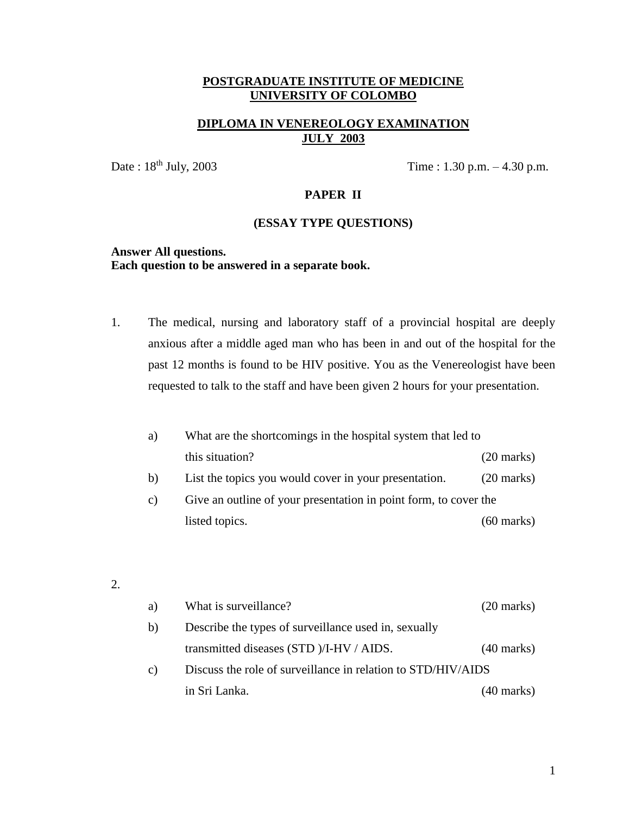## **DIPLOMA IN VENEREOLOGY EXAMINATION JULY 2003**

Date :  $18^{th}$  July, 2003 Time :  $1.30$  p.m.  $-4.30$  p.m.

## **PAPER II**

#### **(ESSAY TYPE QUESTIONS)**

### **Answer All questions. Each question to be answered in a separate book.**

1. The medical, nursing and laboratory staff of a provincial hospital are deeply anxious after a middle aged man who has been in and out of the hospital for the past 12 months is found to be HIV positive. You as the Venereologist have been requested to talk to the staff and have been given 2 hours for your presentation.

| a)              | What are the shortcomings in the hospital system that led to     |                      |
|-----------------|------------------------------------------------------------------|----------------------|
|                 | this situation?                                                  | $(20 \text{ marks})$ |
| $\mathbf{b}$    | List the topics you would cover in your presentation.            | $(20 \text{ marks})$ |
| $\mathcal{C}$ ) | Give an outline of your presentation in point form, to cover the |                      |
|                 | listed topics.                                                   | $(60 \text{ marks})$ |

2.

| a) | What is surveillance?                                        | $(20 \text{ marks})$ |
|----|--------------------------------------------------------------|----------------------|
| b) | Describe the types of surveillance used in, sexually         |                      |
|    | transmitted diseases (STD )/I-HV / AIDS.                     | $(40 \text{ marks})$ |
| c) | Discuss the role of surveillance in relation to STD/HIV/AIDS |                      |
|    | in Sri Lanka.                                                | (40 marks)           |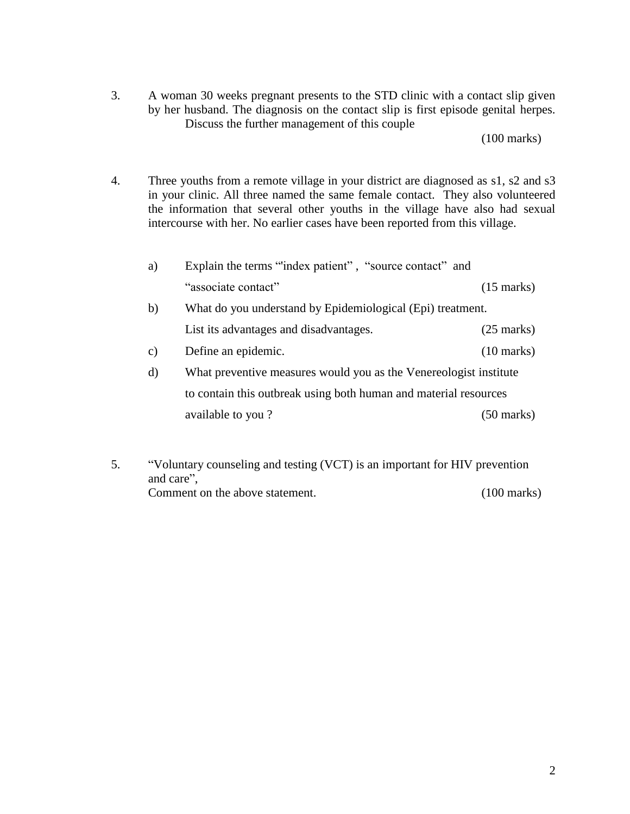3. A woman 30 weeks pregnant presents to the STD clinic with a contact slip given by her husband. The diagnosis on the contact slip is first episode genital herpes. Discuss the further management of this couple

(100 marks)

4. Three youths from a remote village in your district are diagnosed as s1, s2 and s3 in your clinic. All three named the same female contact. They also volunteered the information that several other youths in the village have also had sexual intercourse with her. No earlier cases have been reported from this village.

| a)            | Explain the terms "index patient", "source contact" and           |                      |
|---------------|-------------------------------------------------------------------|----------------------|
|               | "associate contact"                                               | $(15 \text{ marks})$ |
| b)            | What do you understand by Epidemiological (Epi) treatment.        |                      |
|               | List its advantages and disadvantages.                            | $(25 \text{ marks})$ |
| $\mathbf{c})$ | Define an epidemic.                                               | $(10 \text{ marks})$ |
| d)            | What preventive measures would you as the Venereologist institute |                      |
|               | to contain this outbreak using both human and material resources  |                      |
|               | available to you?                                                 | $(50 \text{ marks})$ |
|               |                                                                   |                      |

5. "Voluntary counseling and testing (VCT) is an important for HIV prevention and care", Comment on the above statement. (100 marks)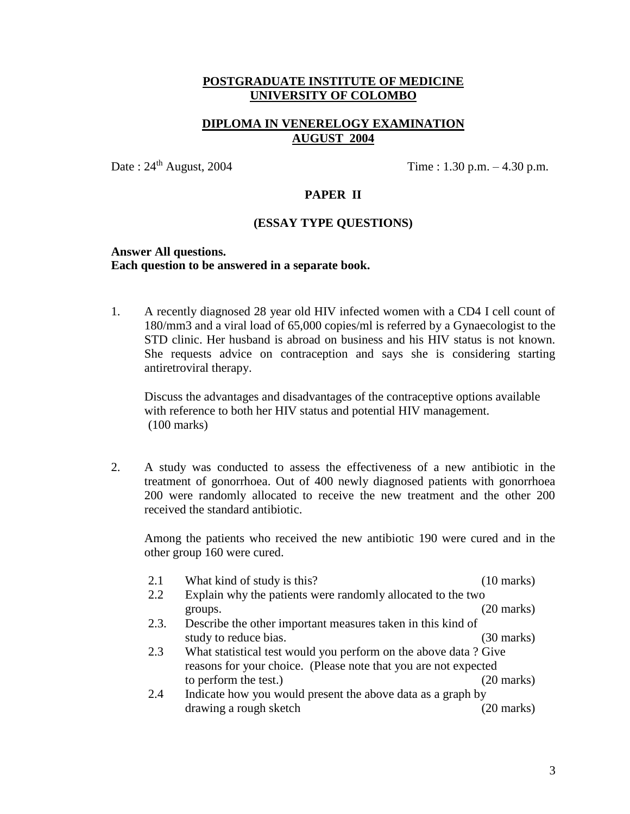## **DIPLOMA IN VENERELOGY EXAMINATION AUGUST 2004**

Date :  $24^{th}$  August,  $2004$  Time :  $1.30$  p.m.  $-4.30$  p.m.

## **PAPER II**

#### **(ESSAY TYPE QUESTIONS)**

#### **Answer All questions. Each question to be answered in a separate book.**

1. A recently diagnosed 28 year old HIV infected women with a CD4 I cell count of 180/mm3 and a viral load of 65,000 copies/ml is referred by a Gynaecologist to the STD clinic. Her husband is abroad on business and his HIV status is not known. She requests advice on contraception and says she is considering starting antiretroviral therapy.

Discuss the advantages and disadvantages of the contraceptive options available with reference to both her HIV status and potential HIV management. (100 marks)

2. A study was conducted to assess the effectiveness of a new antibiotic in the treatment of gonorrhoea. Out of 400 newly diagnosed patients with gonorrhoea 200 were randomly allocated to receive the new treatment and the other 200 received the standard antibiotic.

Among the patients who received the new antibiotic 190 were cured and in the other group 160 were cured.

| 2.1  | What kind of study is this?                                     | $(10 \text{ marks})$ |
|------|-----------------------------------------------------------------|----------------------|
| 2.2  | Explain why the patients were randomly allocated to the two     |                      |
|      | groups.                                                         | (20 marks)           |
| 2.3. | Describe the other important measures taken in this kind of     |                      |
|      | study to reduce bias.                                           | $(30 \text{ marks})$ |
| 2.3  | What statistical test would you perform on the above data? Give |                      |
|      | reasons for your choice. (Please note that you are not expected |                      |
|      | to perform the test.)                                           | $(20 \text{ marks})$ |
| 2.4  | Indicate how you would present the above data as a graph by     |                      |
|      | drawing a rough sketch                                          | 20 marks)            |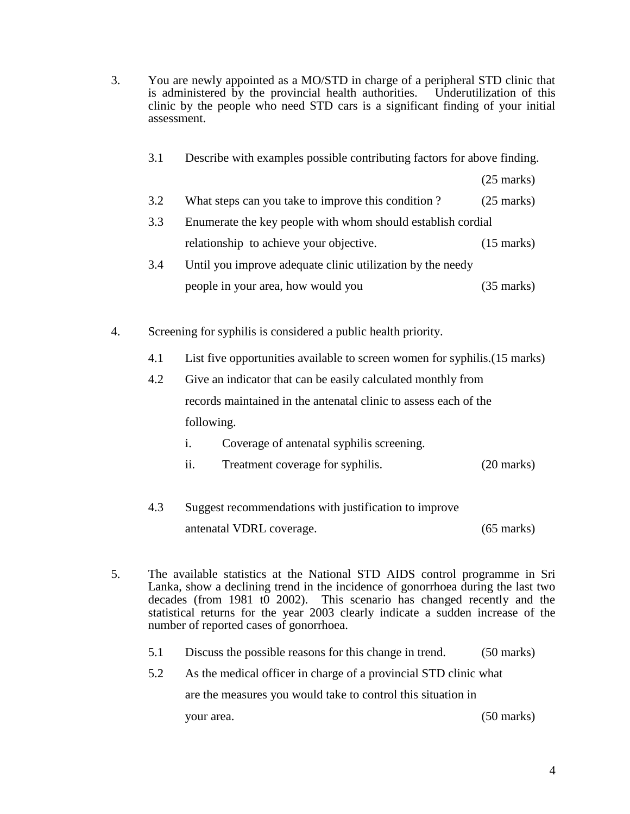- 3. You are newly appointed as a MO/STD in charge of a peripheral STD clinic that is administered by the provincial health authorities. Underutilization of this clinic by the people who need STD cars is a significant finding of your initial assessment.
	- 3.1 Describe with examples possible contributing factors for above finding.

(25 marks)

- 3.2 What steps can you take to improve this condition ? (25 marks)
- 3.3 Enumerate the key people with whom should establish cordial relationship to achieve your objective. (15 marks)
- 3.4 Until you improve adequate clinic utilization by the needy people in your area, how would you (35 marks)
- 4. Screening for syphilis is considered a public health priority.
	- 4.1 List five opportunities available to screen women for syphilis.(15 marks)
	- 4.2 Give an indicator that can be easily calculated monthly from records maintained in the antenatal clinic to assess each of the following.
		- i. Coverage of antenatal syphilis screening.
		- ii. Treatment coverage for syphilis. (20 marks)
	- 4.3 Suggest recommendations with justification to improve antenatal VDRL coverage. (65 marks)
- 5. The available statistics at the National STD AIDS control programme in Sri Lanka, show a declining trend in the incidence of gonorrhoea during the last two decades (from 1981 t0 2002). This scenario has changed recently and the statistical returns for the year 2003 clearly indicate a sudden increase of the number of reported cases of gonorrhoea.
	- 5.1 Discuss the possible reasons for this change in trend. (50 marks)
	- 5.2 As the medical officer in charge of a provincial STD clinic what

are the measures you would take to control this situation in

your area. (50 marks)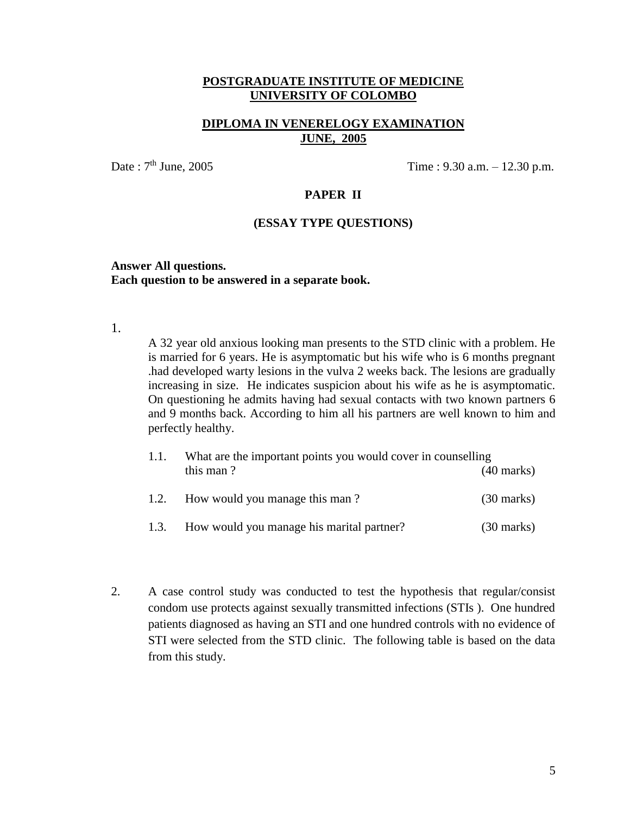### **DIPLOMA IN VENERELOGY EXAMINATION JUNE, 2005**

Date :  $7<sup>th</sup>$  June, 2005 Time : 9.30 a.m. – 12.30 p.m.

## **PAPER II**

#### **(ESSAY TYPE QUESTIONS)**

#### **Answer All questions. Each question to be answered in a separate book.**

1.

A 32 year old anxious looking man presents to the STD clinic with a problem. He is married for 6 years. He is asymptomatic but his wife who is 6 months pregnant .had developed warty lesions in the vulva 2 weeks back. The lesions are gradually increasing in size. He indicates suspicion about his wife as he is asymptomatic. On questioning he admits having had sexual contacts with two known partners 6 and 9 months back. According to him all his partners are well known to him and perfectly healthy.

| 1.1. | What are the important points you would cover in counselling |                      |  |
|------|--------------------------------------------------------------|----------------------|--|
|      | this man?                                                    | $(40 \text{ marks})$ |  |
| 1.2. | How would you manage this man?                               | $(30 \text{ marks})$ |  |
| 1.3. | How would you manage his marital partner?                    | $(30 \text{ marks})$ |  |

2. A case control study was conducted to test the hypothesis that regular/consist condom use protects against sexually transmitted infections (STIs ). One hundred patients diagnosed as having an STI and one hundred controls with no evidence of STI were selected from the STD clinic. The following table is based on the data from this study.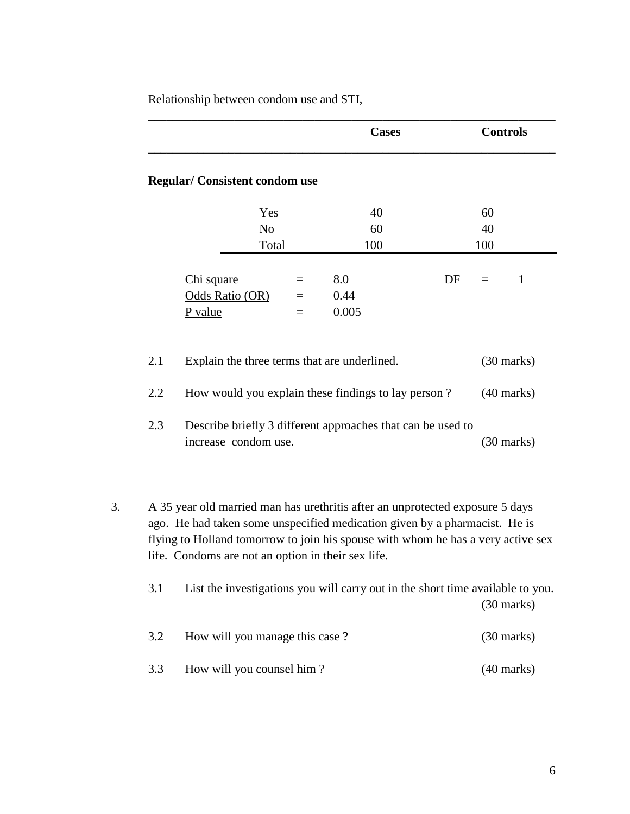Relationship between condom use and STI,

|                   |                                                                                                                                                                                                                                                                                                       | <b>Cases</b> | <b>Controls</b>                                              |   |
|-------------------|-------------------------------------------------------------------------------------------------------------------------------------------------------------------------------------------------------------------------------------------------------------------------------------------------------|--------------|--------------------------------------------------------------|---|
|                   | <b>Regular/Consistent condom use</b>                                                                                                                                                                                                                                                                  |              |                                                              |   |
|                   | Yes                                                                                                                                                                                                                                                                                                   | 40           | 60                                                           |   |
|                   | N <sub>o</sub>                                                                                                                                                                                                                                                                                        | 60           | 40                                                           |   |
|                   | Total                                                                                                                                                                                                                                                                                                 | 100          | 100                                                          |   |
|                   | Chi square                                                                                                                                                                                                                                                                                            | 8.0          | DF<br>$=$                                                    | 1 |
|                   | Odds Ratio (OR)                                                                                                                                                                                                                                                                                       | 0.44         |                                                              |   |
|                   | P value<br>$=$                                                                                                                                                                                                                                                                                        | 0.005        |                                                              |   |
| 2.1<br>2.2<br>2.3 | Explain the three terms that are underlined.<br>How would you explain these findings to lay person?<br>Describe briefly 3 different approaches that can be used to<br>increase condom use.                                                                                                            |              | $(30 \text{ marks})$<br>$(40$ marks)<br>$(30 \text{ marks})$ |   |
|                   | A 35 year old married man has urethritis after an unprotected exposure 5 days<br>ago. He had taken some unspecified medication given by a pharmacist. He is<br>flying to Holland tomorrow to join his spouse with whom he has a very active sex<br>life. Condoms are not an option in their sex life. |              |                                                              |   |
| 3.1               | List the investigations you will carry out in the short time available to you.                                                                                                                                                                                                                        |              | $(30 \text{ marks})$                                         |   |
| 3.2               | How will you manage this case?                                                                                                                                                                                                                                                                        |              | $(30 \text{ marks})$                                         |   |
| 3.3               | How will you counsel him?                                                                                                                                                                                                                                                                             |              | $(40$ marks)                                                 |   |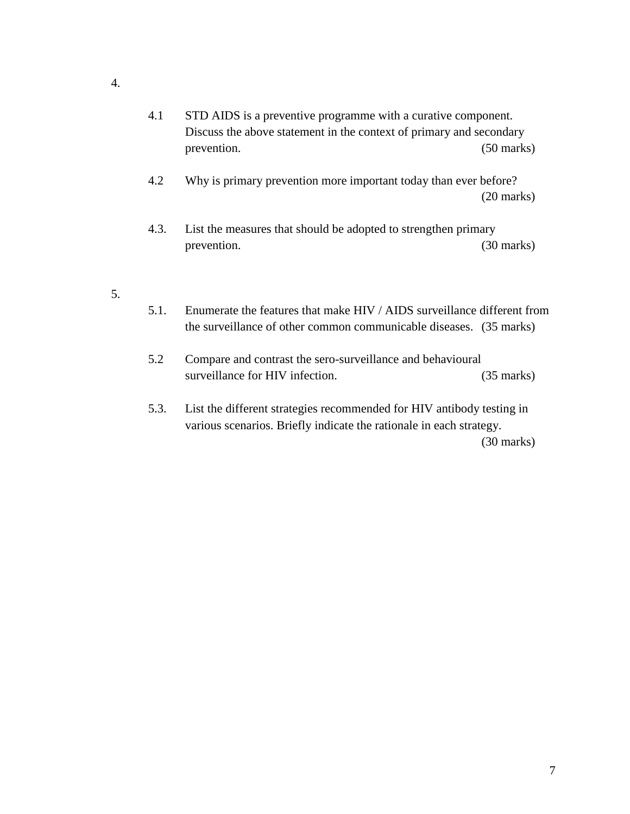- 4.1 STD AIDS is a preventive programme with a curative component. Discuss the above statement in the context of primary and secondary prevention. (50 marks)
- 4.2 Why is primary prevention more important today than ever before? (20 marks)
- 4.3. List the measures that should be adopted to strengthen primary prevention. (30 marks)
- 5.
- 5.1. Enumerate the features that make HIV / AIDS surveillance different from the surveillance of other common communicable diseases. (35 marks)
- 5.2 Compare and contrast the sero-surveillance and behavioural surveillance for HIV infection. (35 marks)
- 5.3. List the different strategies recommended for HIV antibody testing in various scenarios. Briefly indicate the rationale in each strategy. (30 marks)

4.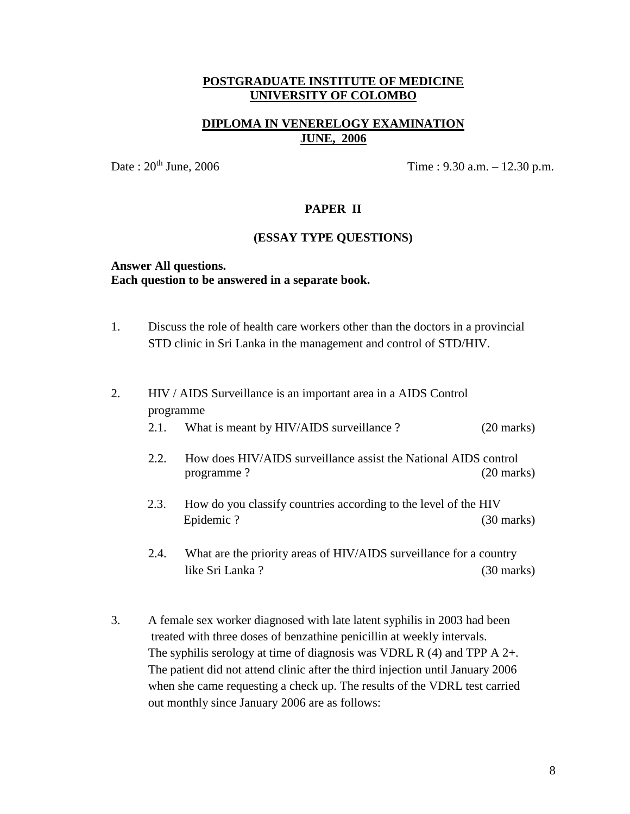## **DIPLOMA IN VENERELOGY EXAMINATION JUNE, 2006**

Date :  $20^{th}$  June,  $2006$  Time :  $9.30$  a.m.  $-12.30$  p.m.

### **PAPER II**

#### **(ESSAY TYPE QUESTIONS)**

#### **Answer All questions. Each question to be answered in a separate book.**

- 1. Discuss the role of health care workers other than the doctors in a provincial STD clinic in Sri Lanka in the management and control of STD/HIV.
- 2. HIV / AIDS Surveillance is an important area in a AIDS Control programme 2.1. What is meant by HIV/AIDS surveillance ? (20 marks)
	- 2.2. How does HIV/AIDS surveillance assist the National AIDS control programme ? (20 marks)
	- 2.3. How do you classify countries according to the level of the HIV Epidemic ? (30 marks)
	- 2.4. What are the priority areas of HIV/AIDS surveillance for a country like Sri Lanka ? (30 marks)
- 3. A female sex worker diagnosed with late latent syphilis in 2003 had been treated with three doses of benzathine penicillin at weekly intervals. The syphilis serology at time of diagnosis was VDRL R  $(4)$  and TPP A  $2+$ . The patient did not attend clinic after the third injection until January 2006 when she came requesting a check up. The results of the VDRL test carried out monthly since January 2006 are as follows: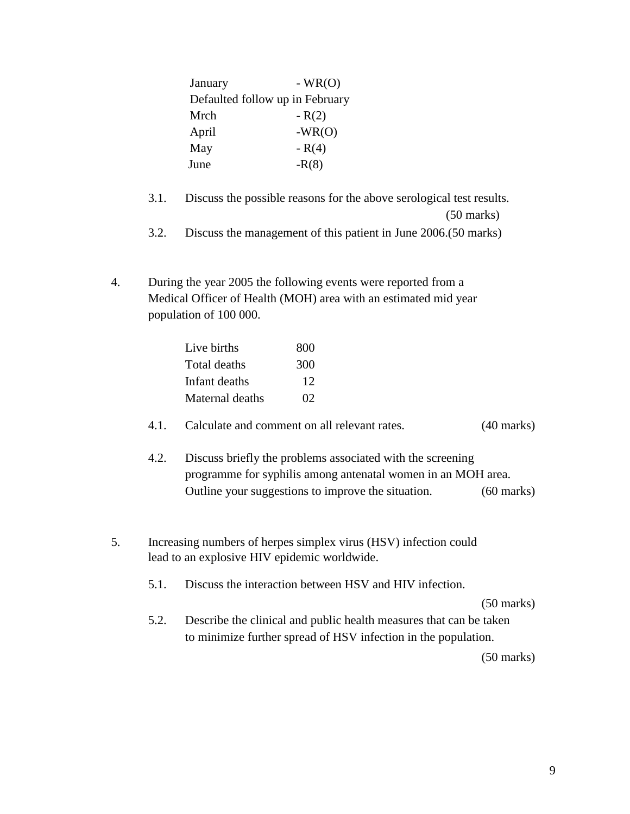| January                         | $-WR(O)$ |
|---------------------------------|----------|
| Defaulted follow up in February |          |
| Mrch                            | $-R(2)$  |
| April                           | $-WR(O)$ |
| May                             | $- R(4)$ |
| June                            | $-R(8)$  |

- 3.1. Discuss the possible reasons for the above serological test results. (50 marks)
- 3.2. Discuss the management of this patient in June 2006.(50 marks)
- 4. During the year 2005 the following events were reported from a Medical Officer of Health (MOH) area with an estimated mid year population of 100 000.

| Live births     | 800 |
|-----------------|-----|
| Total deaths    | 300 |
| Infant deaths   | 12  |
| Maternal deaths | 02  |

#### 4.1. Calculate and comment on all relevant rates. (40 marks)

- 4.2. Discuss briefly the problems associated with the screening programme for syphilis among antenatal women in an MOH area. Outline your suggestions to improve the situation. (60 marks)
- 5. Increasing numbers of herpes simplex virus (HSV) infection could lead to an explosive HIV epidemic worldwide.
	- 5.1. Discuss the interaction between HSV and HIV infection.

(50 marks)

5.2. Describe the clinical and public health measures that can be taken to minimize further spread of HSV infection in the population.

(50 marks)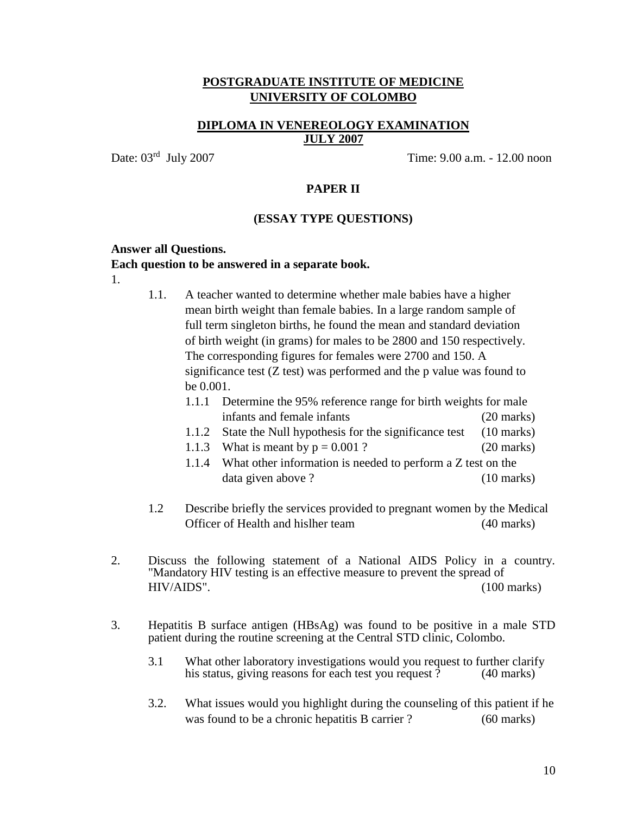#### **DIPLOMA IN VENEREOLOGY EXAMINATION JULY 2007**

Date:  $03<sup>rd</sup>$  July 2007

Time:  $9.00$  a.m. - 12.00 noon

#### **PAPER II**

#### **(ESSAY TYPE QUESTIONS)**

#### **Answer all Questions.**

#### **Each question to be answered in a separate book.**

- 1.
- 1.1. A teacher wanted to determine whether male babies have a higher mean birth weight than female babies. In a large random sample of full term singleton births, he found the mean and standard deviation of birth weight (in grams) for males to be 2800 and 150 respectively. The corresponding figures for females were 2700 and 150. A significance test (Z test) was performed and the p value was found to be 0.001.
	- 1.1.1 Determine the 95% reference range for birth weights for male infants and female infants (20 marks)
	- 1.1.2 State the Null hypothesis for the significance test (10 marks)
	- 1.1.3 What is meant by  $p = 0.001$  ? (20 marks)
	- 1.1.4 What other information is needed to perform a Z test on the data given above ? (10 marks)
- 1.2 Describe briefly the services provided to pregnant women by the Medical Officer of Health and hislher team (40 marks)
- 2. Discuss the following statement of a National AIDS Policy in a country. "Mandatory HIV testing is an effective measure to prevent the spread of HIV/AIDS". (100 marks)
- 3. Hepatitis B surface antigen (HBsAg) was found to be positive in a male STD patient during the routine screening at the Central STD clinic, Colombo.
	- 3.1 What other laboratory investigations would you request to further clarify<br>his status, giving reasons for each test you request ? (40 marks) his status, giving reasons for each test you request  $\hat{?}$
	- 3.2. What issues would you highlight during the counseling of this patient if he was found to be a chronic hepatitis B carrier ? (60 marks)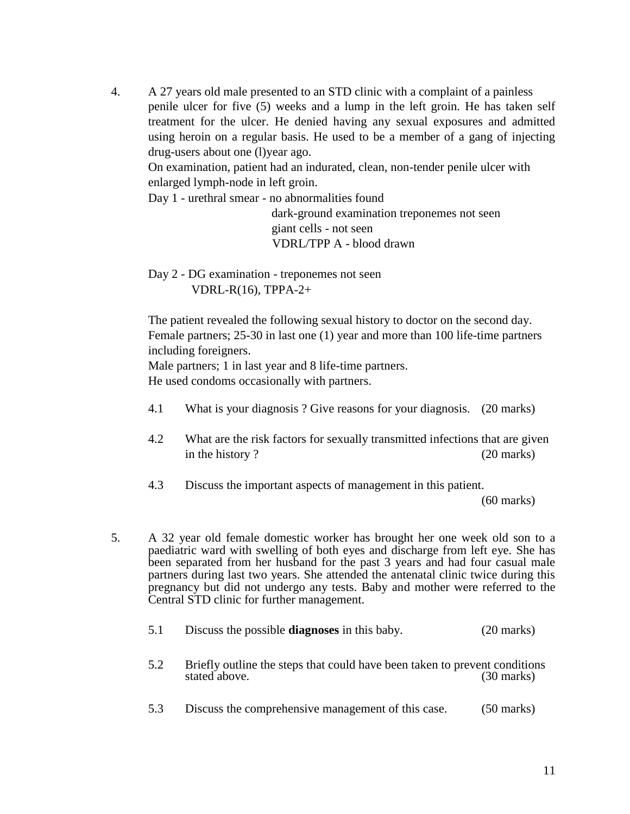4. A 27 years old male presented to an STD clinic with a complaint of a painless penile ulcer for five (5) weeks and a lump in the left groin. He has taken self treatment for the ulcer. He denied having any sexual exposures and admitted using heroin on a regular basis. He used to be a member of a gang of injecting drug-users about one (l)year ago.

On examination, patient had an indurated, clean, non-tender penile ulcer with enlarged lymph-node in left groin.

Day 1 - urethral smear - no abnormalities found

 dark-ground examination treponemes not seen giant cells - not seen VDRL/TPP A - blood drawn

Day 2 - DG examination - treponemes not seen VDRL-R(16), TPPA-2+

The patient revealed the following sexual history to doctor on the second day. Female partners; 25-30 in last one (1) year and more than 100 life-time partners including foreigners.

Male partners; 1 in last year and 8 life-time partners.

He used condoms occasionally with partners.

- 4.1 What is your diagnosis ? Give reasons for your diagnosis. (20 marks)
- 4.2 What are the risk factors for sexually transmitted infections that are given in the history ? (20 marks)
- 4.3 Discuss the important aspects of management in this patient.

(60 marks)

5. A 32 year old female domestic worker has brought her one week old son to a paediatric ward with swelling of both eyes and discharge from left eye. She has been separated from her husband for the past 3 years and had four casual male partners during last two years. She attended the antenatal clinic twice during this pregnancy but did not undergo any tests. Baby and mother were referred to the Central STD clinic for further management.

| 5.1 | Discuss the possible <b>diagnoses</b> in this baby. | $(20 \text{ marks})$ |
|-----|-----------------------------------------------------|----------------------|
|-----|-----------------------------------------------------|----------------------|

- 5.2 Briefly outline the steps that could have been taken to prevent conditions stated above. (30 marks) stated above.
- 5.3 Discuss the comprehensive management of this case. (50 marks)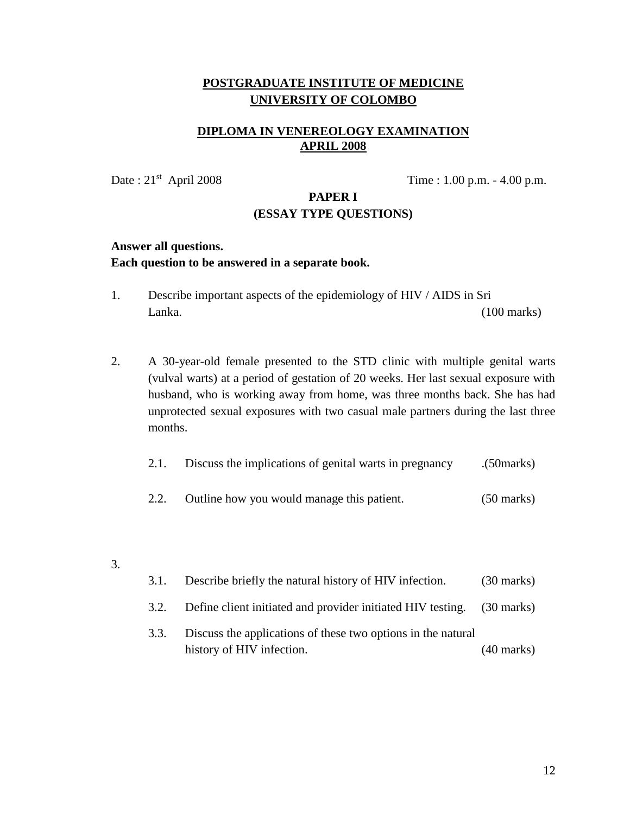# **DIPLOMA IN VENEREOLOGY EXAMINATION APRIL 2008**

Date:  $21<sup>st</sup>$  April 2008

Time :  $1.00$  p.m.  $- 4.00$  p.m.

## **PAPER I (ESSAY TYPE QUESTIONS)**

#### **Answer all questions.**

#### **Each question to be answered in a separate book.**

- 1. Describe important aspects of the epidemiology of HIV / AIDS in Sri Lanka. (100 marks)
- 2. A 30-year-old female presented to the STD clinic with multiple genital warts (vulval warts) at a period of gestation of 20 weeks. Her last sexual exposure with husband, who is working away from home, was three months back. She has had unprotected sexual exposures with two casual male partners during the last three months.

| 2.1. | Discuss the implications of genital warts in pregnancy | (50 <sub>marks</sub> ) |
|------|--------------------------------------------------------|------------------------|
| 2.2. | Outline how you would manage this patient.             | $(50 \text{ marks})$   |

3.

| 3.1. | Describe briefly the natural history of HIV infection.                                    | $(30 \text{ marks})$ |
|------|-------------------------------------------------------------------------------------------|----------------------|
| 3.2. | Define client initiated and provider initiated HIV testing. (30 marks)                    |                      |
| 3.3. | Discuss the applications of these two options in the natural<br>history of HIV infection. | $(40 \text{ marks})$ |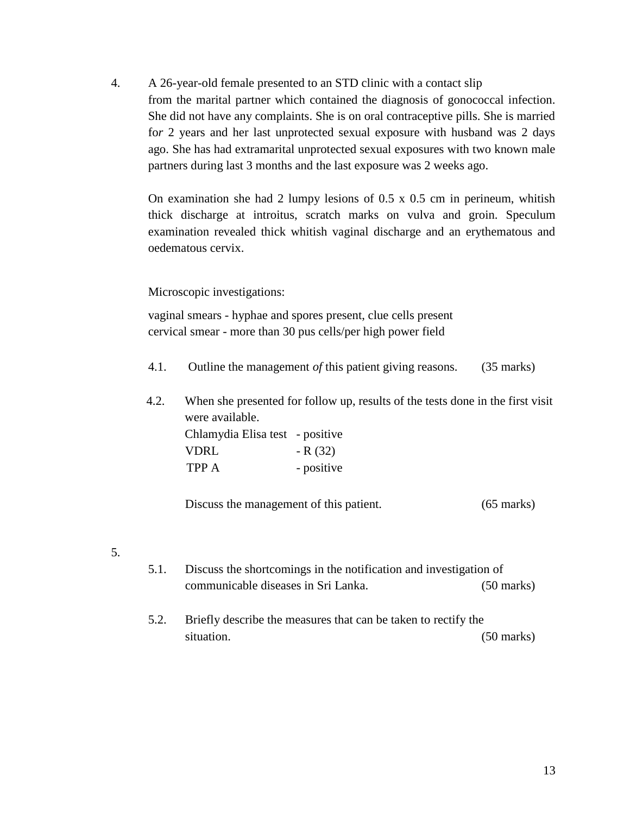4. A 26-year-old female presented to an STD clinic with a contact slip from the marital partner which contained the diagnosis of gonococcal infection. She did not have any complaints. She is on oral contraceptive pills. She is married fo*r* 2 years and her last unprotected sexual exposure with husband was 2 days ago. She has had extramarital unprotected sexual exposures with two known male partners during last 3 months and the last exposure was 2 weeks ago.

On examination she had 2 lumpy lesions of  $0.5 \times 0.5$  cm in perineum, whitish thick discharge at introitus, scratch marks on vulva and groin. Speculum examination revealed thick whitish vaginal discharge and an erythematous and oedematous cervix.

#### Microscopic investigations:

vaginal smears - hyphae and spores present, clue cells present cervical smear - more than 30 pus cells/per high power field

- 4.1. Outline the management *of* this patient giving reasons. (35 marks)
- 4.2. When she presented for follow up, results of the tests done in the first visit were available. Chlamydia Elisa test - positive  $VDRL$  - R (32) TPP A - positive

Discuss the management of this patient. (65 marks)

- 5.
- 5.1. Discuss the shortcomings in the notification and investigation of communicable diseases in Sri Lanka. (50 marks)
- 5.2. Briefly describe the measures that can be taken to rectify the situation. (50 marks)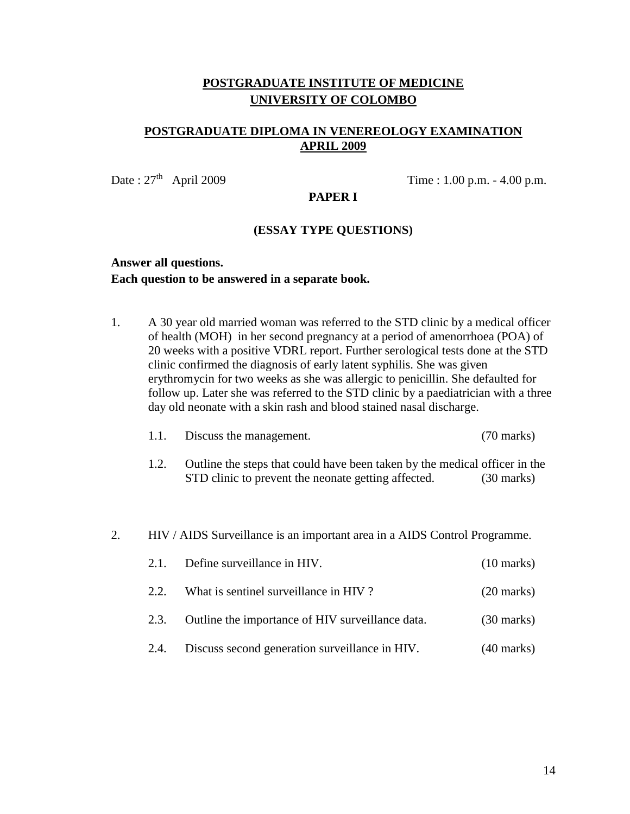## **POSTGRADUATE DIPLOMA IN VENEREOLOGY EXAMINATION APRIL 2009**

Date:  $27<sup>th</sup>$  April 2009

Time :  $1.00$  p.m.  $- 4.00$  p.m.

#### **PAPER I**

#### **(ESSAY TYPE QUESTIONS)**

# **Answer all questions. Each question to be answered in a separate book.**

1. A 30 year old married woman was referred to the STD clinic by a medical officer of health (MOH) in her second pregnancy at a period of amenorrhoea (POA) of 20 weeks with a positive VDRL report. Further serological tests done at the STD clinic confirmed the diagnosis of early latent syphilis. She was given erythromycin for two weeks as she was allergic to penicillin. She defaulted for follow up. Later she was referred to the STD clinic by a paediatrician with a three day old neonate with a skin rash and blood stained nasal discharge.

| 1.1. | Discuss the management. | $(70 \text{ marks})$ |
|------|-------------------------|----------------------|
|------|-------------------------|----------------------|

1.2. Outline the steps that could have been taken by the medical officer in the STD clinic to prevent the neonate getting affected. (30 marks)

#### 2. HIV / AIDS Surveillance is an important area in a AIDS Control Programme.

|      | 2.1. Define surveillance in HIV.                 | $(10 \text{ marks})$ |
|------|--------------------------------------------------|----------------------|
| 2.2. | What is sentinel surveillance in HIV?            | $(20 \text{ marks})$ |
| 2.3. | Outline the importance of HIV surveillance data. | $(30 \text{ marks})$ |
| 2.4. | Discuss second generation surveillance in HIV.   | $(40 \text{ marks})$ |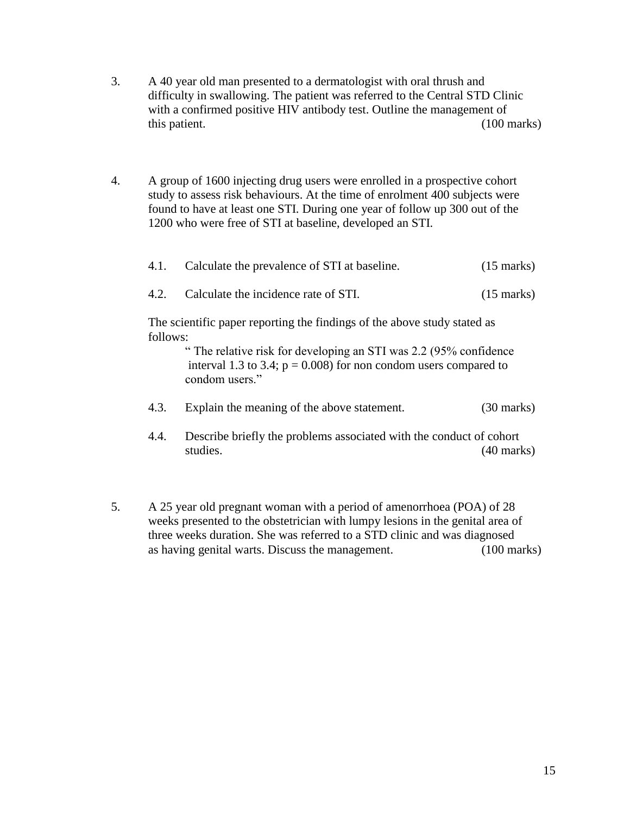- 3. A 40 year old man presented to a dermatologist with oral thrush and difficulty in swallowing. The patient was referred to the Central STD Clinic with a confirmed positive HIV antibody test. Outline the management of this patient. (100 marks)
- 4. A group of 1600 injecting drug users were enrolled in a prospective cohort study to assess risk behaviours. At the time of enrolment 400 subjects were found to have at least one STI. During one year of follow up 300 out of the 1200 who were free of STI at baseline, developed an STI.

| 4.1.                                                                                 | Calculate the prevalence of STI at baseline.                                                                                                              | $(15 \text{ marks})$ |  |
|--------------------------------------------------------------------------------------|-----------------------------------------------------------------------------------------------------------------------------------------------------------|----------------------|--|
| 4.2.                                                                                 | Calculate the incidence rate of STI.                                                                                                                      | $(15 \text{ marks})$ |  |
| The scientific paper reporting the findings of the above study stated as<br>follows: |                                                                                                                                                           |                      |  |
|                                                                                      | "The relative risk for developing an STI was 2.2 (95% confidence<br>interval 1.3 to 3.4; $p = 0.008$ ) for non condom users compared to<br>condom users." |                      |  |
| 4.3.                                                                                 | Explain the meaning of the above statement.                                                                                                               | $(30 \text{ marks})$ |  |
| 4.4.                                                                                 | Describe briefly the problems associated with the conduct of cohort<br>studies.<br>$(40 \text{ marks})$                                                   |                      |  |

5. A 25 year old pregnant woman with a period of amenorrhoea (POA) of 28 weeks presented to the obstetrician with lumpy lesions in the genital area of three weeks duration. She was referred to a STD clinic and was diagnosed as having genital warts. Discuss the management. (100 marks)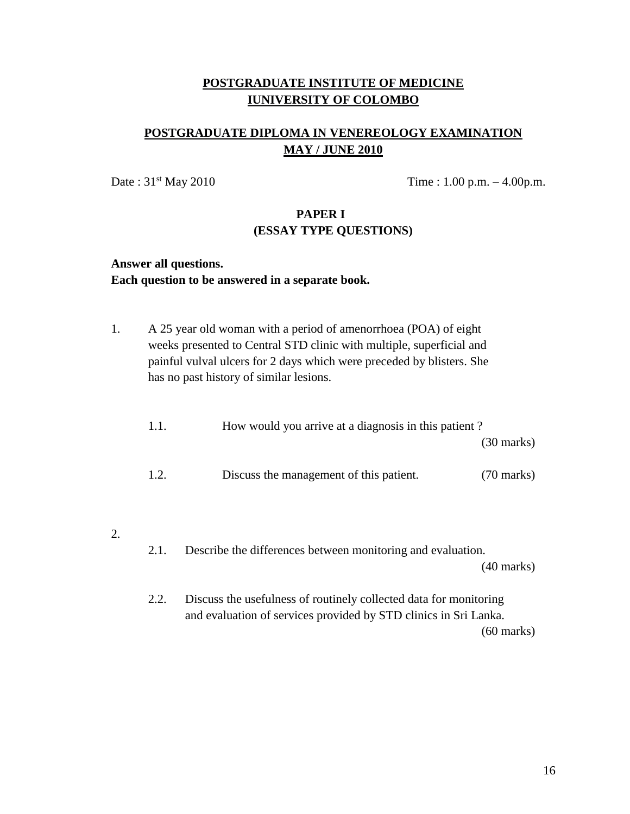# **POSTGRADUATE DIPLOMA IN VENEREOLOGY EXAMINATION MAY / JUNE 2010**

Date :  $31^{st}$  May 2010 Time : 1.00 p.m.  $-4.00$  p.m.

# **PAPER I (ESSAY TYPE QUESTIONS)**

# **Answer all questions. Each question to be answered in a separate book.**

1. A 25 year old woman with a period of amenorrhoea (POA) of eight weeks presented to Central STD clinic with multiple, superficial and painful vulval ulcers for 2 days which were preceded by blisters. She has no past history of similar lesions.

| 1.1. | How would you arrive at a diagnosis in this patient? |                      |  |
|------|------------------------------------------------------|----------------------|--|
|      |                                                      | $(30 \text{ marks})$ |  |
| 1.2. | Discuss the management of this patient.              | $(70 \text{ marks})$ |  |

2.

2.1. Describe the differences between monitoring and evaluation.

(40 marks)

2.2. Discuss the usefulness of routinely collected data for monitoring and evaluation of services provided by STD clinics in Sri Lanka. (60 marks)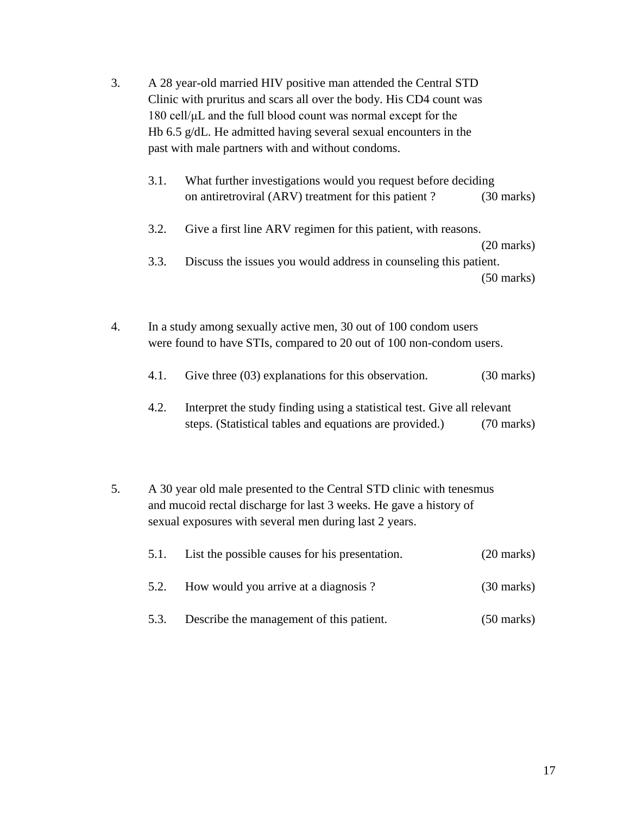- 3. A 28 year-old married HIV positive man attended the Central STD Clinic with pruritus and scars all over the body. His CD4 count was 180 cell/μL and the full blood count was normal except for the Hb 6.5 g/dL. He admitted having several sexual encounters in the past with male partners with and without condoms.
	- 3.1. What further investigations would you request before deciding on antiretroviral (ARV) treatment for this patient ? (30 marks)
	- 3.2. Give a first line ARV regimen for this patient, with reasons.

(20 marks)

3.3. Discuss the issues you would address in counseling this patient.

(50 marks)

- 4. In a study among sexually active men, 30 out of 100 condom users were found to have STIs, compared to 20 out of 100 non-condom users.
	- 4.1. Give three (03) explanations for this observation. (30 marks)
	- 4.2. Interpret the study finding using a statistical test. Give all relevant steps. (Statistical tables and equations are provided.) (70 marks)
- 5. A 30 year old male presented to the Central STD clinic with tenesmus and mucoid rectal discharge for last 3 weeks. He gave a history of sexual exposures with several men during last 2 years.

| 5.1. | List the possible causes for his presentation. | $(20 \text{ marks})$ |
|------|------------------------------------------------|----------------------|
| 5.2. | How would you arrive at a diagnosis?           | $(30 \text{ marks})$ |
| 5.3. | Describe the management of this patient.       | $(50 \text{ marks})$ |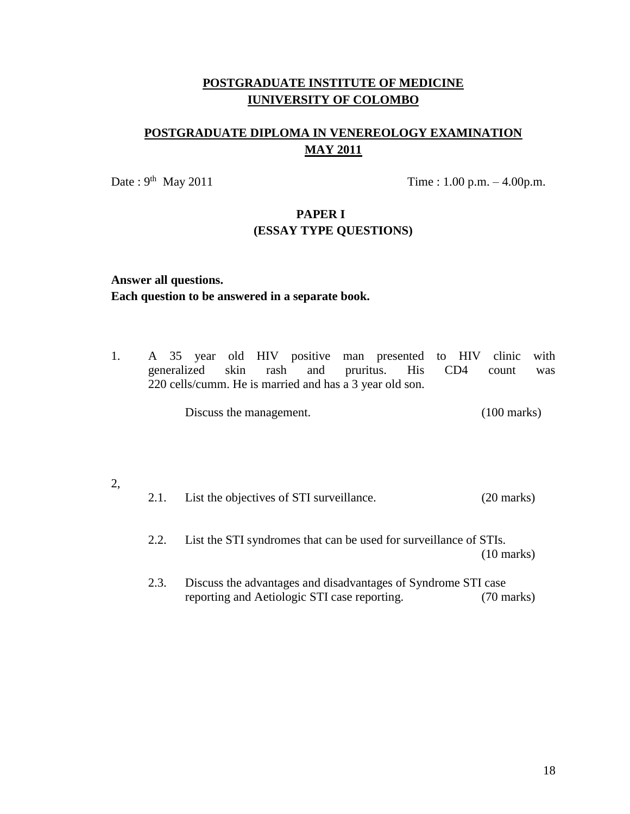# **POSTGRADUATE DIPLOMA IN VENEREOLOGY EXAMINATION MAY 2011**

Date:  $9^{th}$  May 2011

Time :  $1.00$  p.m.  $-4.00$  p.m.

# **PAPER I (ESSAY TYPE QUESTIONS)**

# **Answer all questions. Each question to be answered in a separate book.**

1. A 35 year old HIV positive man presented to HIV clinic with generalized skin rash and pruritus. His CD4 count was 220 cells/cumm. He is married and has a 3 year old son.

Discuss the management. (100 marks)

# 2, 2.1. List the objectives of STI surveillance. (20 marks) 2.2. List the STI syndromes that can be used for surveillance of STIs. (10 marks) 2.3. Discuss the advantages and disadvantages of Syndrome STI case reporting and Aetiologic STI case reporting. (70 marks)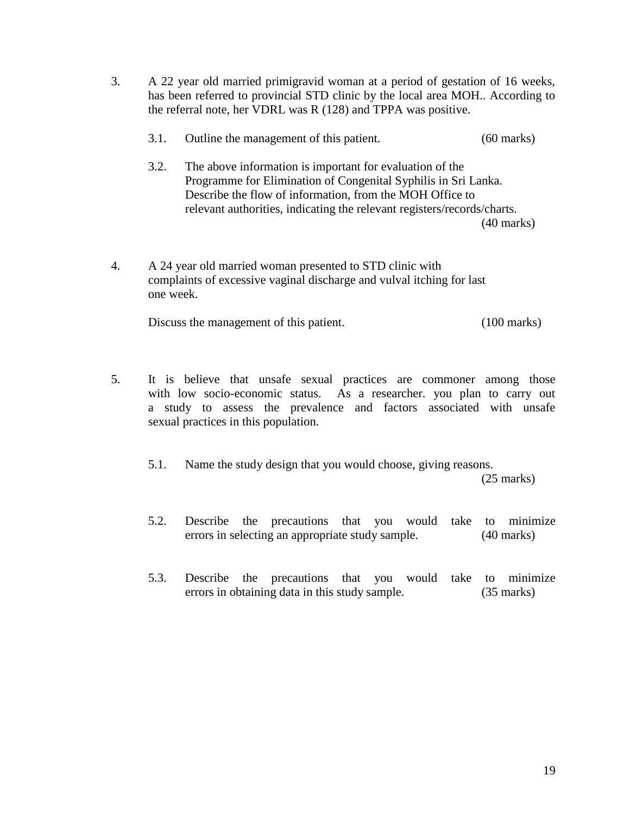- 3. A 22 year old married primigravid woman at a period of gestation of 16 weeks, has been referred to provincial STD clinic by the local area MOH.. According to the referral note, her VDRL was R (128) and TPPA was positive.
	- 3.1. Outline the management of this patient. (60 marks)
	- 3.2. The above information is important for evaluation of the Programme for Elimination of Congenital Syphilis in Sri Lanka. Describe the flow of information, from the MOH Office to relevant authorities, indicating the relevant registers/records/charts. (40 marks)
- 4. A 24 year old married woman presented to STD clinic with complaints of excessive vaginal discharge and vulval itching for last one week.

Discuss the management of this patient. (100 marks)

- 5. It is believe that unsafe sexual practices are commoner among those with low socio-economic status. As a researcher. you plan to carry out a study to assess the prevalence and factors associated with unsafe sexual practices in this population.
	- 5.1. Name the study design that you would choose, giving reasons. (25 marks)
	- 5.2. Describe the precautions that you would take to minimize errors in selecting an appropriate study sample. (40 marks)
	- 5.3. Describe the precautions that you would take to minimize errors in obtaining data in this study sample. (35 marks)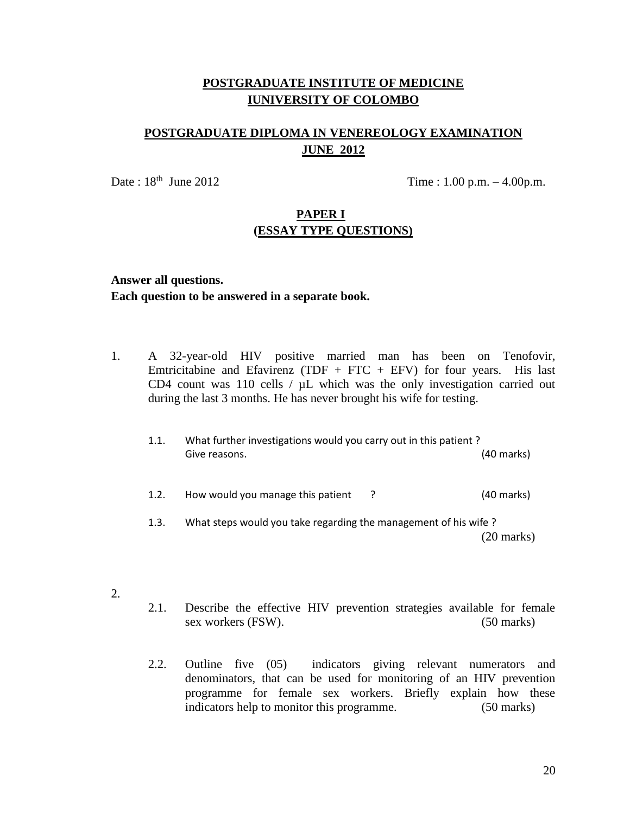# **POSTGRADUATE DIPLOMA IN VENEREOLOGY EXAMINATION JUNE 2012**

Date :  $18^{th}$  June 2012

Time :  $1.00$  p.m.  $-4.00$  p.m.

## **PAPER I (ESSAY TYPE QUESTIONS)**

# **Answer all questions. Each question to be answered in a separate book.**

- 1. A 32-year-old HIV positive married man has been on Tenofovir, Emtricitabine and Efavirenz (TDF + FTC + EFV) for four years. His last CD4 count was 110 cells / µL which was the only investigation carried out during the last 3 months. He has never brought his wife for testing.
	- 1.1. What further investigations would you carry out in this patient ? Give reasons. (40 marks) 1.2. How would you manage this patient ? (40 marks)
	- 1.3. What steps would you take regarding the management of his wife ? (20 marks)
- 2.
- 2.1. Describe the effective HIV prevention strategies available for female sex workers (FSW). (50 marks)
- 2.2. Outline five (05) indicators giving relevant numerators and denominators, that can be used for monitoring of an HIV prevention programme for female sex workers. Briefly explain how these indicators help to monitor this programme. (50 marks)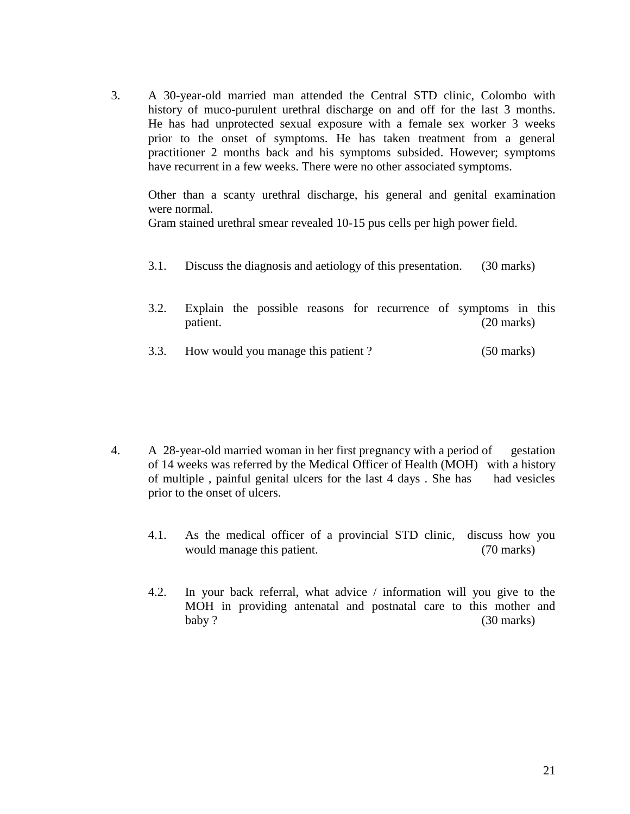3. A 30-year-old married man attended the Central STD clinic, Colombo with history of muco-purulent urethral discharge on and off for the last 3 months. He has had unprotected sexual exposure with a female sex worker 3 weeks prior to the onset of symptoms. He has taken treatment from a general practitioner 2 months back and his symptoms subsided. However; symptoms have recurrent in a few weeks. There were no other associated symptoms.

Other than a scanty urethral discharge, his general and genital examination were normal.

Gram stained urethral smear revealed 10-15 pus cells per high power field.

- 3.1. Discuss the diagnosis and aetiology of this presentation. (30 marks)
- 3.2. Explain the possible reasons for recurrence of symptoms in this patient. (20 marks)
- 3.3. How would you manage this patient ? (50 marks)

- 4. A 28-year-old married woman in her first pregnancy with a period of gestation of 14 weeks was referred by the Medical Officer of Health (MOH) with a history of multiple , painful genital ulcers for the last 4 days . She has had vesicles prior to the onset of ulcers.
	- 4.1. As the medical officer of a provincial STD clinic, discuss how you would manage this patient. (70 marks)
	- 4.2. In your back referral, what advice / information will you give to the MOH in providing antenatal and postnatal care to this mother and baby ? (30 marks)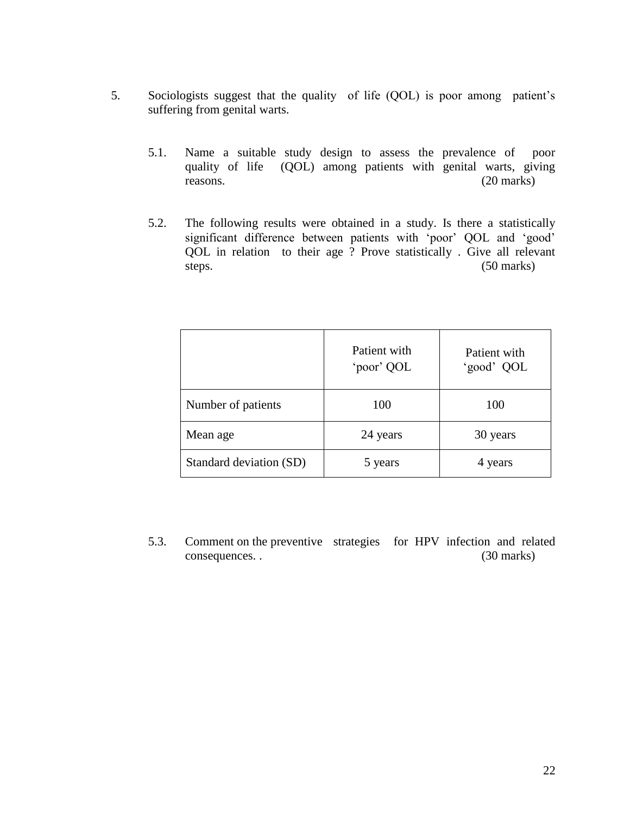- 5. Sociologists suggest that the quality of life (QOL) is poor among patient's suffering from genital warts.
	- 5.1. Name a suitable study design to assess the prevalence of poor quality of life (QOL) among patients with genital warts, giving reasons. (20 marks)
	- 5.2. The following results were obtained in a study. Is there a statistically significant difference between patients with 'poor' QOL and 'good' QOL in relation to their age ? Prove statistically . Give all relevant steps. (50 marks)

|                         | Patient with<br>'poor' QOL | Patient with<br>'good' QOL |
|-------------------------|----------------------------|----------------------------|
| Number of patients      | 100                        | 100                        |
| Mean age                | 24 years                   | 30 years                   |
| Standard deviation (SD) | 5 years                    | 4 years                    |

5.3. Comment on the preventive strategies for HPV infection and related consequences. . (30 marks)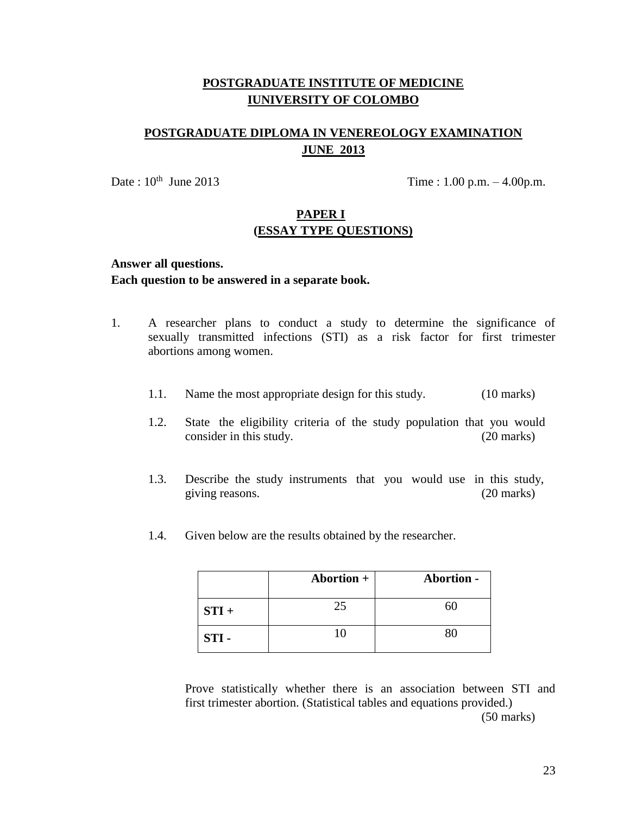# **POSTGRADUATE DIPLOMA IN VENEREOLOGY EXAMINATION JUNE 2013**

Date :  $10^{th}$  June 2013

Time :  $1.00$  p.m.  $-4.00$  p.m.

# **PAPER I (ESSAY TYPE QUESTIONS)**

## **Answer all questions. Each question to be answered in a separate book.**

- 1. A researcher plans to conduct a study to determine the significance of sexually transmitted infections (STI) as a risk factor for first trimester abortions among women.
	- 1.1. Name the most appropriate design for this study. (10 marks)
	- 1.2. State the eligibility criteria of the study population that you would consider in this study. (20 marks)
	- 1.3. Describe the study instruments that you would use in this study, giving reasons. (20 marks)
	- 1.4. Given below are the results obtained by the researcher.

|         | <b>Abortion +</b> | Abortion - |
|---------|-------------------|------------|
| $STI +$ | 25                |            |
| STI-    |                   |            |

Prove statistically whether there is an association between STI and first trimester abortion. (Statistical tables and equations provided.) (50 marks)